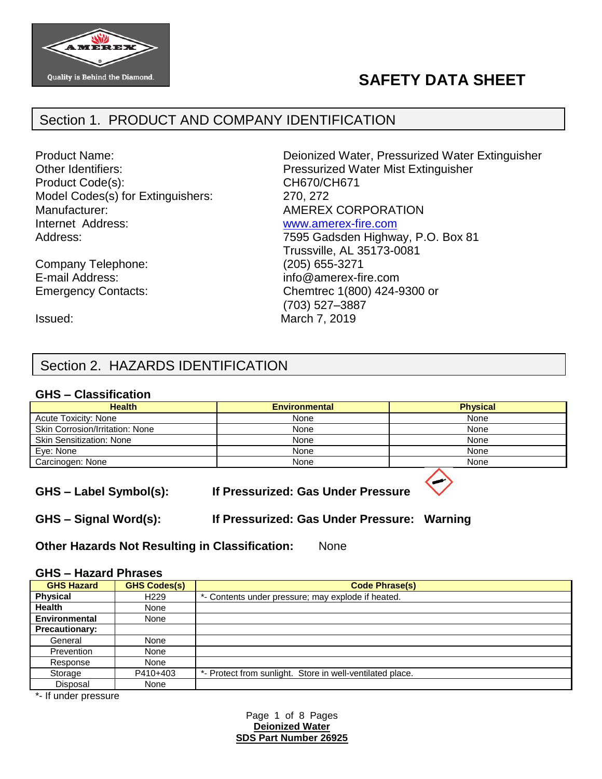

# **SAFETY DATA SHEET**

### Section 1. PRODUCT AND COMPANY IDENTIFICATION

Product Code(s): CH670/CH671 Model Codes(s) for Extinguishers: 270, 272 Manufacturer:  $\blacksquare$  AMEREX CORPORATION Internet Address: [www.amerex-fire.com](http://www.amerex-fire.com/)

Company Telephone: (205) 655-3271 Emergency Contacts: Chemtrec 1(800) 424-9300 or

Product Name: Deionized Water, Pressurized Water Extinguisher Other Identifiers: Pressurized Water Mist Extinguisher Address: Mathematic Mathematic Metal Contract 7595 Gadsden Highway, P.O. Box 81 Trussville, AL 35173-0081 E-mail Address: info@amerex-fire.com

Issued: March 7, 2019

### Section 2. HAZARDS IDENTIFICATION

#### **GHS – Classification**

| <b>Health</b>                   | <b>Environmental</b> | <b>Physical</b> |
|---------------------------------|----------------------|-----------------|
| <b>Acute Toxicity: None</b>     | None                 | None            |
| Skin Corrosion/Irritation: None | None                 | None            |
| <b>Skin Sensitization: None</b> | None                 | None            |
| Eye: None                       | None                 | None            |
| Carcinogen: None                | None                 | None            |
|                                 |                      |                 |

(703) 527–3887

**GHS – Label Symbol(s): If Pressurized: Gas Under Pressure**

**GHS – Signal Word(s): If Pressurized: Gas Under Pressure: Warning**

**Other Hazards Not Resulting in Classification:** None

#### **GHS – Hazard Phrases**

| <b>GHS Hazard</b>     | <b>GHS Codes(s)</b> | <b>Code Phrase(s)</b>                                     |
|-----------------------|---------------------|-----------------------------------------------------------|
| <b>Physical</b>       | H <sub>229</sub>    | *- Contents under pressure; may explode if heated.        |
| <b>Health</b>         | None                |                                                           |
| Environmental         | None                |                                                           |
| <b>Precautionary:</b> |                     |                                                           |
| General               | None                |                                                           |
| Prevention            | None                |                                                           |
| Response              | None                |                                                           |
| Storage               | P410+403            | *- Protect from sunlight. Store in well-ventilated place. |
| Disposal              | None                |                                                           |

\*- If under pressure

Page 1 of 8 Pages **Deionized Water SDS Part Number 26925**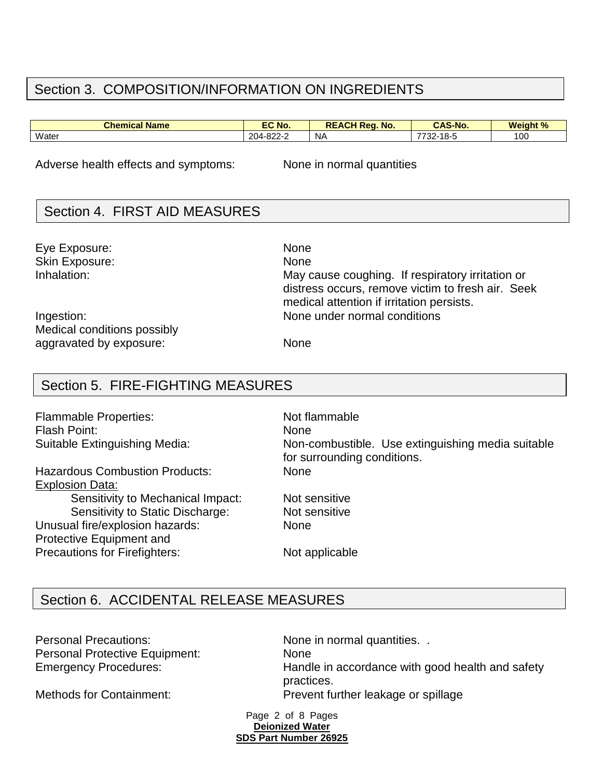### Section 3. COMPOSITION/INFORMATION ON INGREDIENTS

| <b>Chemical Name</b> | EC No.                          | $\mathbf{R}$ ed.<br>DEACI<br>No.<br>NE | <b>CAS-No</b>                    | <b>Weight %</b><br>70. |
|----------------------|---------------------------------|----------------------------------------|----------------------------------|------------------------|
| Water                | 000c<br>$204 - 8.$<br>$022 - 7$ | <b>NA</b>                              | 7700<br>10 E<br>-<br>I O=C<br>ےں | 100                    |

Adverse health effects and symptoms: None in normal quantities

### Section 4. FIRST AID MEASURES

Eye Exposure: None Skin Exposure: None Inhalation: May cause coughing. If respiratory irritation or

Ingestion: None under normal conditions Medical conditions possibly aggravated by exposure: None

## Section 5. FIRE-FIGHTING MEASURES

Flammable Properties: Not flammable Flash Point: None

Hazardous Combustion Products: None Explosion Data: Sensitivity to Mechanical Impact: Not sensitive

Sensitivity to Static Discharge: Not sensitive Unusual fire/explosion hazards: None Protective Equipment and Precautions for Firefighters: Not applicable

Suitable Extinguishing Media: Non-combustible. Use extinguishing media suitable for surrounding conditions.

distress occurs, remove victim to fresh air. Seek

medical attention if irritation persists.

## Section 6. ACCIDENTAL RELEASE MEASURES

Personal Precautions: None in normal quantities. . Personal Protective Equipment: None

Emergency Procedures: Handle in accordance with good health and safety practices. Methods for Containment: Prevent further leakage or spillage

> Page 2 of 8 Pages **Deionized Water SDS Part Number 26925**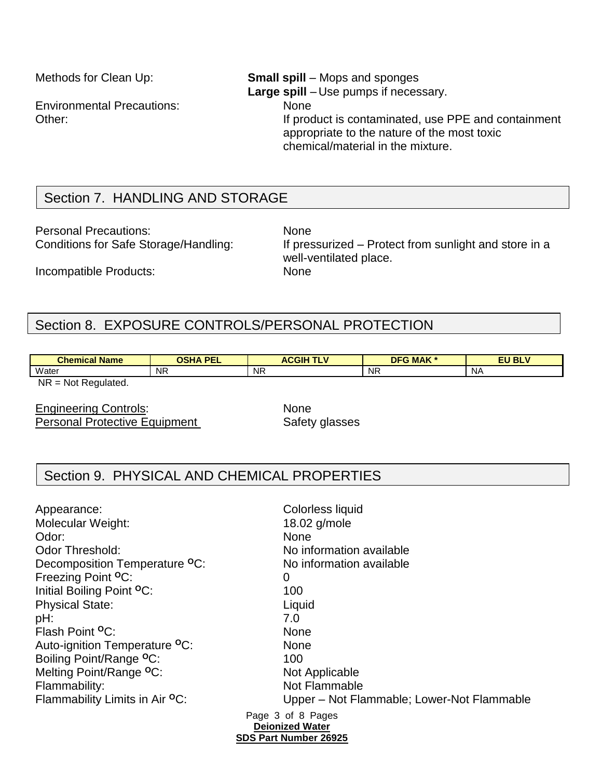Environmental Precautions: None

### Methods for Clean Up: **Small spill** – Mops and sponges **Large spill** – Use pumps if necessary. Other: If product is contaminated, use PPE and containment appropriate to the nature of the most toxic chemical/material in the mixture.

## Section 7. HANDLING AND STORAGE

Personal Precautions: None

Conditions for Safe Storage/Handling: If pressurized – Protect from sunlight and store in a well-ventilated place.

Incompatible Products: None

## Section 8. EXPOSURE CONTROLS/PERSONAL PROTECTION

| <b>Chemical Name</b>                  | OSHA PEL<br>-- | <b>ACGIH</b><br><b>TI V</b><br>. . | <b>DFG MAK *</b> | <b>EU BLV</b> |
|---------------------------------------|----------------|------------------------------------|------------------|---------------|
| Water                                 | <b>NR</b>      | <b>NR</b>                          | <b>NR</b>        | NΑ            |
| <b>NR</b><br>Regulated.<br>Not<br>$=$ |                |                                    |                  |               |

Engineering Controls: None

Personal Protective Equipment Safety glasses

### Section 9. PHYSICAL AND CHEMICAL PROPERTIES

Page 3 of 8 Pages **Deionized Water** Appearance: Colorless liquid Molecular Weight: 18.02 g/mole Odor: None Odor Threshold: No information available Decomposition Temperature <sup>o</sup>C: No information available Freezing Point **<sup>O</sup>**C: 0 Initial Boiling Point <sup>O</sup>C: 100 Physical State: Liquid pH: 7.0 Flash Point **<sup>O</sup>**C: None Auto-ignition Temperature **<sup>O</sup>**C: None Boiling Point/Range <sup>o</sup>C: 100 Melting Point/Range <sup>o</sup>C: Not Applicable Flammability: Not Flammable Flammability Limits in Air <sup>o</sup>C: Upper – Not Flammable; Lower-Not Flammable

#### **SDS Part Number 26925**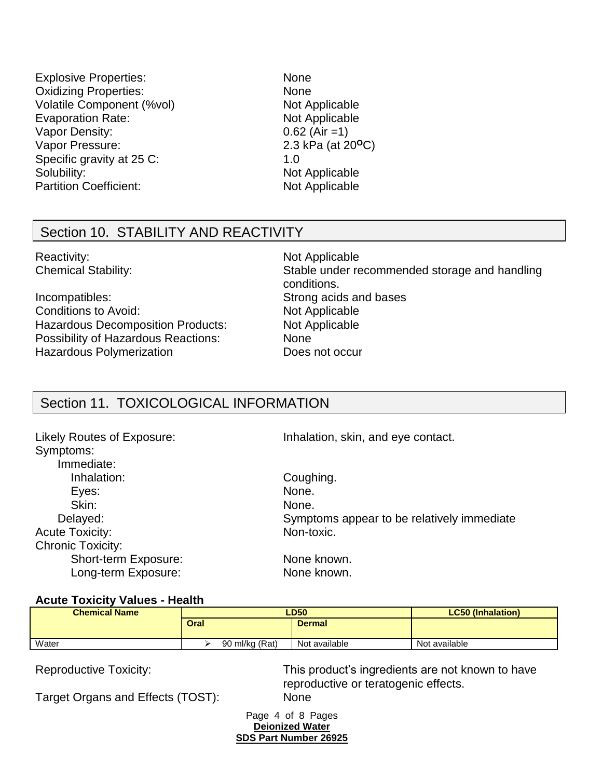- Explosive Properties: None Oxidizing Properties: None Volatile Component (%vol) Not Applicable Evaporation Rate: Not Applicable Vapor Density: 0.62 (Air =1) Vapor Pressure: 2.3 kPa (at 20<sup>o</sup>C) Specific gravity at 25 C: 1.0 Solubility: Not Applicable Partition Coefficient: Not Applicable
	-

### Section 10. STABILITY AND REACTIVITY

Reactivity: Not Applicable

Incompatibles: Strong acids and bases Conditions to Avoid: Not Applicable Hazardous Decomposition Products: Not Applicable Possibility of Hazardous Reactions: None Hazardous Polymerization **Does not occur** 

Chemical Stability: Stable under recommended storage and handling conditions.

## Section 11. TOXICOLOGICAL INFORMATION

| <b>Likely Routes of Exposure:</b><br>Symptoms:<br>Immediate: | Inhalation, skin, and eye contact.         |
|--------------------------------------------------------------|--------------------------------------------|
| Inhalation:                                                  | Coughing.                                  |
| Eyes:                                                        | None.                                      |
| Skin:                                                        | None.                                      |
| Delayed:                                                     | Symptoms appear to be relatively immediate |
| <b>Acute Toxicity:</b>                                       | Non-toxic.                                 |
| <b>Chronic Toxicity:</b>                                     |                                            |
| Short-term Exposure:                                         | None known.                                |
| Long-term Exposure:                                          | None known.                                |

#### **Acute Toxicity Values - Health**

| <b>Chemical Name</b> | <b>LD50</b>    |               | <b>LC50 (Inhalation)</b> |
|----------------------|----------------|---------------|--------------------------|
|                      | Oral           | <b>Dermal</b> |                          |
| Water                | 90 ml/kg (Rat) | Not available | Not available            |

Reproductive Toxicity: This product's ingredients are not known to have reproductive or teratogenic effects.

Target Organs and Effects (TOST): None

Page 4 of 8 Pages **Deionized Water SDS Part Number 26925**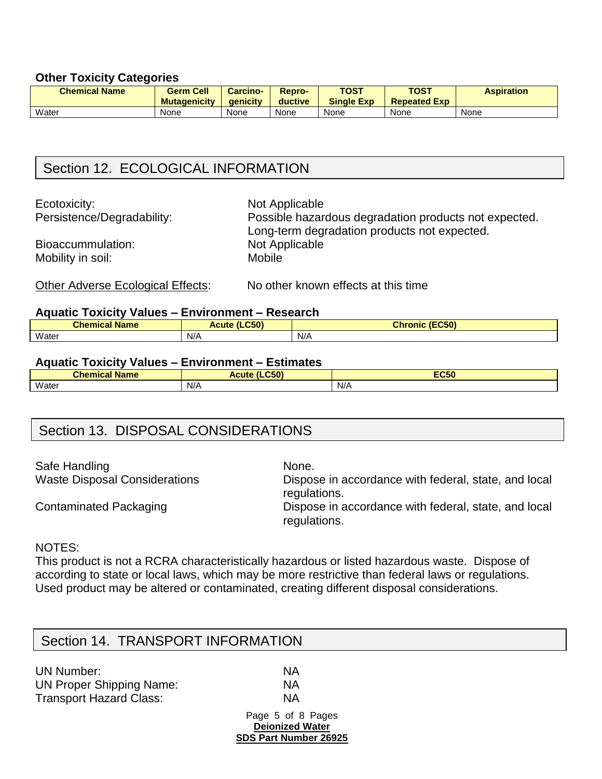#### **Other Toxicity Categories**

| <b>Chemical Name</b> | <b>Germ Cell</b><br><b>Mutagenicity</b> | <b>Carcino-</b><br><b>aenicity</b> | <b>Repro-</b><br>ductive | <b>TOST</b><br><b>Single Exp</b> | <b>TOST</b><br><b>Repeated Exp</b> | <b>Aspiration</b> |
|----------------------|-----------------------------------------|------------------------------------|--------------------------|----------------------------------|------------------------------------|-------------------|
| Water                | None                                    | None                               | None                     | None                             | None                               | None              |

### Section 12. ECOLOGICAL INFORMATION

Ecotoxicity: Not Applicable

Bioaccummulation: Not Applicable Mobility in soil: Mobile

Persistence/Degradability: Possible hazardous degradation products not expected. Long-term degradation products not expected.

Other Adverse Ecological Effects: No other known effects at this time

#### **Aquatic Toxicity Values – Environment – Research**

| . .<br><b>Chemical</b><br><b>Name</b> | CEN<br><b>Ncute</b><br>LUCJ. | (EC50)<br><b>Chronic</b> |
|---------------------------------------|------------------------------|--------------------------|
| Water                                 | N/A                          | N/A                      |

#### **Aquatic Toxicity Values – Environment – Estimates**

| <b>Chemical</b><br>.<br><b>Name</b> | CEN<br>$\mathbf{r}$<br><b>Acute</b> | <b>EC50</b> |
|-------------------------------------|-------------------------------------|-------------|
| Water                               | N/A                                 | N/A         |

### Section 13. DISPOSAL CONSIDERATIONS

Safe Handling None.

Waste Disposal Considerations Dispose in accordance with federal, state, and local regulations.

Contaminated Packaging **Dispose in accordance with federal, state, and local** regulations.

### NOTES:

This product is not a RCRA characteristically hazardous or listed hazardous waste. Dispose of according to state or local laws, which may be more restrictive than federal laws or regulations. Used product may be altered or contaminated, creating different disposal considerations.

### Section 14. TRANSPORT INFORMATION

| UN Number:                      | ΝA |
|---------------------------------|----|
| <b>UN Proper Shipping Name:</b> | ΝA |
| <b>Transport Hazard Class:</b>  | ΝA |

Page 5 of 8 Pages **Deionized Water SDS Part Number 26925**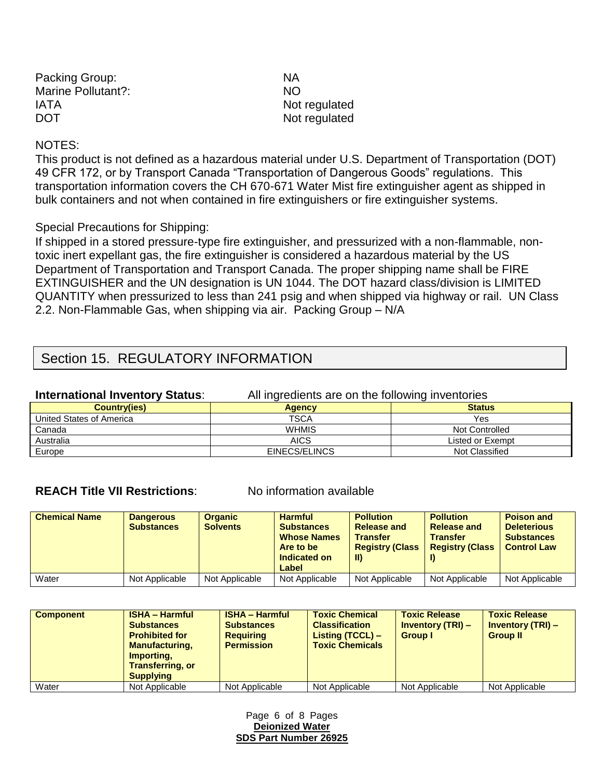| Packing Group:     | NA.       |
|--------------------|-----------|
| Marine Pollutant?: | <b>NO</b> |
| <b>IATA</b>        | Not       |
| <b>DOT</b>         | Not       |

Not regulated Not regulated

#### NOTES:

This product is not defined as a hazardous material under U.S. Department of Transportation (DOT) 49 CFR 172, or by Transport Canada "Transportation of Dangerous Goods" regulations. This transportation information covers the CH 670-671 Water Mist fire extinguisher agent as shipped in bulk containers and not when contained in fire extinguishers or fire extinguisher systems.

#### Special Precautions for Shipping:

If shipped in a stored pressure-type fire extinguisher, and pressurized with a non-flammable, nontoxic inert expellant gas, the fire extinguisher is considered a hazardous material by the US Department of Transportation and Transport Canada. The proper shipping name shall be FIRE EXTINGUISHER and the UN designation is UN 1044. The DOT hazard class/division is LIMITED QUANTITY when pressurized to less than 241 psig and when shipped via highway or rail. UN Class 2.2. Non-Flammable Gas, when shipping via air. Packing Group – N/A

### Section 15. REGULATORY INFORMATION

| <b>International Inventory Status:</b> | All ingredients are on the following inventories |                       |  |  |
|----------------------------------------|--------------------------------------------------|-----------------------|--|--|
| <b>Country(ies)</b>                    | <b>Status</b><br><b>Agency</b>                   |                       |  |  |
| United States of America               | <b>TSCA</b>                                      | Yes                   |  |  |
| Canada                                 | <b>WHMIS</b>                                     | <b>Not Controlled</b> |  |  |
| Australia                              | <b>AICS</b>                                      | Listed or Exempt      |  |  |
| Europe                                 | EINECS/ELINCS                                    | Not Classified        |  |  |

#### **REACH Title VII Restrictions:** No information available

| <b>Chemical Name</b> | <b>Dangerous</b><br><b>Substances</b> | <b>Organic</b><br><b>Solvents</b> | <b>Harmful</b><br><b>Substances</b><br><b>Whose Names</b><br>Are to be<br>Indicated on<br>Label | <b>Pollution</b><br><b>Release and</b><br><b>Transfer</b><br><b>Registry (Class</b><br>$\mathbf{II}$ | <b>Pollution</b><br><b>Release and</b><br><b>Transfer</b><br><b>Registry (Class</b> | <b>Poison and</b><br><b>Deleterious</b><br><b>Substances</b><br><b>Control Law</b> |
|----------------------|---------------------------------------|-----------------------------------|-------------------------------------------------------------------------------------------------|------------------------------------------------------------------------------------------------------|-------------------------------------------------------------------------------------|------------------------------------------------------------------------------------|
| Water                | Not Applicable                        | Not Applicable                    | Not Applicable                                                                                  | Not Applicable                                                                                       | Not Applicable                                                                      | Not Applicable                                                                     |

| <b>Component</b> | <b>ISHA - Harmful</b><br><b>Substances</b><br><b>Prohibited for</b><br><b>Manufacturing,</b><br>Importing,<br><b>Transferring, or</b><br><b>Supplying</b> | <b>ISHA - Harmful</b><br><b>Substances</b><br><b>Requiring</b><br><b>Permission</b> | <b>Toxic Chemical</b><br><b>Classification</b><br>Listing (TCCL) -<br><b>Toxic Chemicals</b> | <b>Toxic Release</b><br><b>Inventory (TRI) –</b><br><b>Group I</b> | <b>Toxic Release</b><br><b>Inventory (TRI) –</b><br><b>Group II</b> |
|------------------|-----------------------------------------------------------------------------------------------------------------------------------------------------------|-------------------------------------------------------------------------------------|----------------------------------------------------------------------------------------------|--------------------------------------------------------------------|---------------------------------------------------------------------|
| Water            | Not Applicable                                                                                                                                            | Not Applicable                                                                      | Not Applicable                                                                               | Not Applicable                                                     | Not Applicable                                                      |

Page 6 of 8 Pages **Deionized Water SDS Part Number 26925**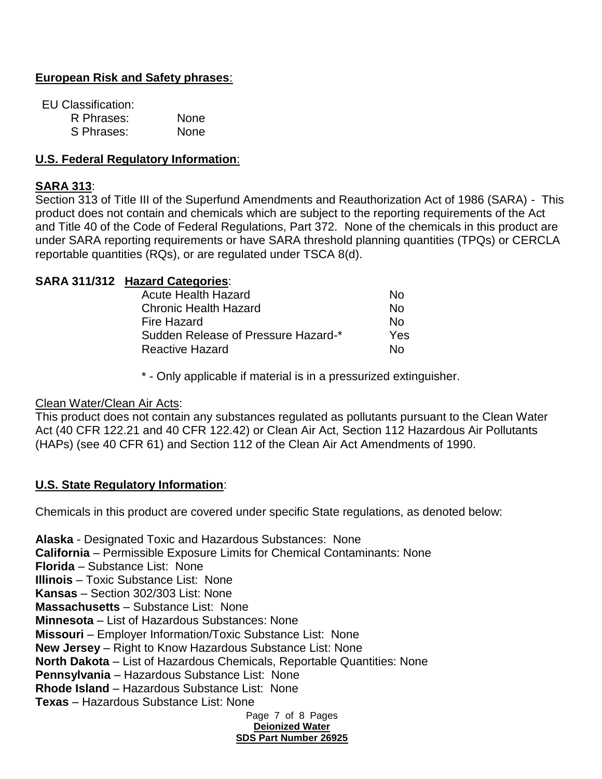### **European Risk and Safety phrases**:

EU Classification:

| R Phrases: | <b>None</b> |
|------------|-------------|
| S Phrases: | <b>None</b> |

### **U.S. Federal Regulatory Information**:

#### **SARA 313**:

Section 313 of Title III of the Superfund Amendments and Reauthorization Act of 1986 (SARA) - This product does not contain and chemicals which are subject to the reporting requirements of the Act and Title 40 of the Code of Federal Regulations, Part 372. None of the chemicals in this product are under SARA reporting requirements or have SARA threshold planning quantities (TPQs) or CERCLA reportable quantities (RQs), or are regulated under TSCA 8(d).

#### **SARA 311/312 Hazard Categories**:

| Acute Health Hazard                 | N٥  |
|-------------------------------------|-----|
| <b>Chronic Health Hazard</b>        | N٥  |
| <b>Fire Hazard</b>                  | N٥  |
| Sudden Release of Pressure Hazard-* | Yes |
| <b>Reactive Hazard</b>              | N٥  |

\* - Only applicable if material is in a pressurized extinguisher.

Clean Water/Clean Air Acts:

This product does not contain any substances regulated as pollutants pursuant to the Clean Water Act (40 CFR 122.21 and 40 CFR 122.42) or Clean Air Act, Section 112 Hazardous Air Pollutants (HAPs) (see 40 CFR 61) and Section 112 of the Clean Air Act Amendments of 1990.

#### **U.S. State Regulatory Information**:

Chemicals in this product are covered under specific State regulations, as denoted below:

Page 7 of 8 Pages **Deionized Water SDS Part Number 26925 Alaska** - Designated Toxic and Hazardous Substances: None **California** – Permissible Exposure Limits for Chemical Contaminants: None **Florida** – Substance List: None **Illinois** – Toxic Substance List: None **Kansas** – Section 302/303 List: None **Massachusetts** – Substance List: None **Minnesota** – List of Hazardous Substances: None **Missouri** – Employer Information/Toxic Substance List: None **New Jersey** – Right to Know Hazardous Substance List: None **North Dakota** – List of Hazardous Chemicals, Reportable Quantities: None **Pennsylvania** – Hazardous Substance List: None **Rhode Island** – Hazardous Substance List: None **Texas** – Hazardous Substance List: None